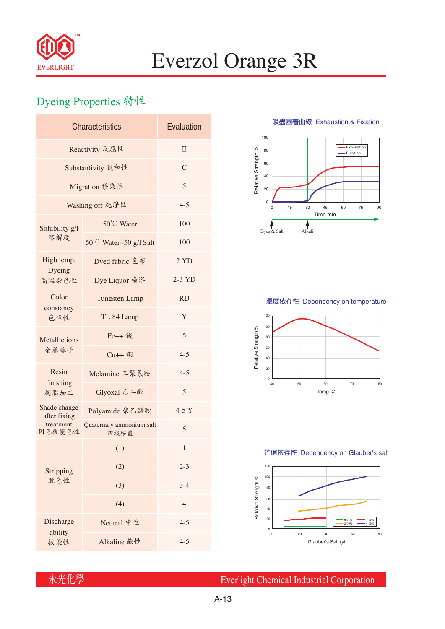

# Everzol Orange 3R

## Dyeing Properties 特性

| <b>Characteristics</b>                              | Evaluation                       |                |  |  |  |
|-----------------------------------------------------|----------------------------------|----------------|--|--|--|
| Reactivity 反應性                                      | $\Pi$                            |                |  |  |  |
| Substantivity 親和性                                   | $\mathcal{C}$                    |                |  |  |  |
| Migration 移染性                                       | 5                                |                |  |  |  |
| Washing off 洗淨性                                     | $4 - 5$                          |                |  |  |  |
| Solubility g/l<br>溶解度                               | 50°C Water                       | 100            |  |  |  |
|                                                     | 50°C Water+50 g/l Salt           | 100            |  |  |  |
| High temp.                                          | Dyed fabric 色布                   | 2 YD           |  |  |  |
| Dyeing<br>高溫染色性                                     | Dye Liquor 染浴                    | $2-3$ YD       |  |  |  |
| Color<br>constancy<br>色恆性                           | <b>Tungsten Lamp</b>             | <b>RD</b>      |  |  |  |
|                                                     | TL 84 Lamp                       | Y              |  |  |  |
| Metallic ions<br>金屬離子                               | Fe++ 鐵                           | 5              |  |  |  |
|                                                     | $Cu++4$                          | $4 - 5$        |  |  |  |
| Resin<br>finishing<br>樹脂加工                          | Melamine 三聚氰胺                    | $4 - 5$        |  |  |  |
|                                                     | Glyoxal 乙二醛                      | 5              |  |  |  |
| Shade change<br>after fixing<br>treatment<br>固色後變色性 | Polyamide 聚乙醯胺                   | $4-5Y$         |  |  |  |
|                                                     | Quaternary ammonium salt<br>四級胺鹽 | 5              |  |  |  |
|                                                     | (1)                              | 1              |  |  |  |
| Stripping<br>脱色性                                    | (2)                              | $2 - 3$        |  |  |  |
|                                                     | (3)                              | $3-4$          |  |  |  |
|                                                     | (4)                              | $\overline{4}$ |  |  |  |
| Discharge<br>ability                                | Neutral 中性                       | $4 - 5$        |  |  |  |
| 拔染性                                                 | Alkaline 鹼性                      | $4 - 5$        |  |  |  |

**吸盡固著曲線** Exhaustion & Fixation



#### **溫度依存性** Dependency on temperature